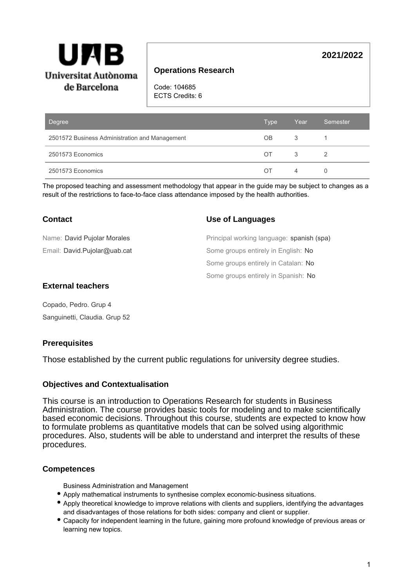

## **Operations Research**

Code: 104685 ECTS Credits: 6

| Degree                                         | <b>Type</b> | Year           | Semester |
|------------------------------------------------|-------------|----------------|----------|
| 2501572 Business Administration and Management | OB.         | -3             |          |
| 2501573 Economics                              | OT          | -3             |          |
| 2501573 Economics                              | ΩT          | $\overline{4}$ |          |

The proposed teaching and assessment methodology that appear in the guide may be subject to changes as a result of the restrictions to face-to-face class attendance imposed by the health authorities.

| <b>Contact</b>               | <b>Use of Languages</b>                   |
|------------------------------|-------------------------------------------|
| Name: David Pujolar Morales  | Principal working language: spanish (spa) |
| Email: David.Pujolar@uab.cat | Some groups entirely in English: No       |
|                              | Some groups entirely in Catalan: No       |
|                              | Some groups entirely in Spanish: No       |
| External teachers            |                                           |

#### **External teachers**

Copado, Pedro. Grup 4 Sanguinetti, Claudia. Grup 52

## **Prerequisites**

Those established by the current public regulations for university degree studies.

## **Objectives and Contextualisation**

This course is an introduction to Operations Research for students in Business Administration. The course provides basic tools for modeling and to make scientifically based economic decisions. Throughout this course, students are expected to know how to formulate problems as quantitative models that can be solved using algorithmic procedures. Also, students will be able to understand and interpret the results of these procedures.

#### **Competences**

Business Administration and Management

- Apply mathematical instruments to synthesise complex economic-business situations.
- Apply theoretical knowledge to improve relations with clients and suppliers, identifying the advantages and disadvantages of those relations for both sides: company and client or supplier.
- Capacity for independent learning in the future, gaining more profound knowledge of previous areas or learning new topics.

**2021/2022**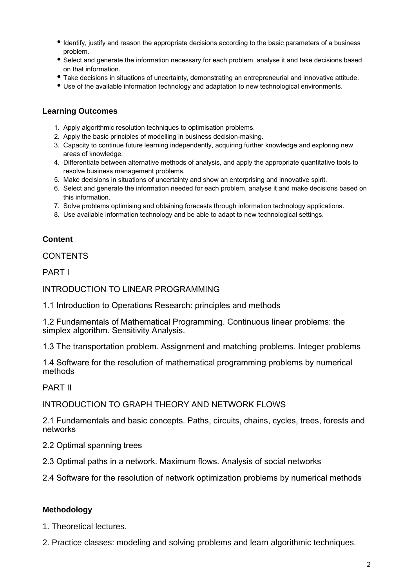- Identify, justify and reason the appropriate decisions according to the basic parameters of a business problem.
- Select and generate the information necessary for each problem, analyse it and take decisions based on that information.
- Take decisions in situations of uncertainty, demonstrating an entrepreneurial and innovative attitude.
- Use of the available information technology and adaptation to new technological environments.

## **Learning Outcomes**

- 1. Apply algorithmic resolution techniques to optimisation problems.
- 2. Apply the basic principles of modelling in business decision-making.
- 3. Capacity to continue future learning independently, acquiring further knowledge and exploring new areas of knowledge.
- 4. Differentiate between alternative methods of analysis, and apply the appropriate quantitative tools to resolve business management problems.
- 5. Make decisions in situations of uncertainty and show an enterprising and innovative spirit.
- 6. Select and generate the information needed for each problem, analyse it and make decisions based on this information.
- 7. Solve problems optimising and obtaining forecasts through information technology applications.
- 8. Use available information technology and be able to adapt to new technological settings.

## **Content**

## CONTENTS

PART I

## INTRODUCTION TO LINEAR PROGRAMMING

1.1 Introduction to Operations Research: principles and methods

1.2 Fundamentals of Mathematical Programming. Continuous linear problems: the simplex algorithm. Sensitivity Analysis.

1.3 The transportation problem. Assignment and matching problems. Integer problems

1.4 Software for the resolution of mathematical programming problems by numerical methods

## PART II

## INTRODUCTION TO GRAPH THEORY AND NETWORK FLOWS

2.1 Fundamentals and basic concepts. Paths, circuits, chains, cycles, trees, forests and networks

- 2.2 Optimal spanning trees
- 2.3 Optimal paths in a network. Maximum flows. Analysis of social networks

2.4 Software for the resolution of network optimization problems by numerical methods

## **Methodology**

1. Theoretical lectures.

2. Practice classes: modeling and solving problems and learn algorithmic techniques.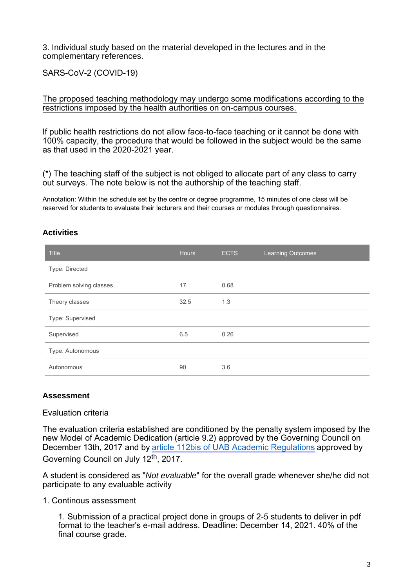3. Individual study based on the material developed in the lectures and in the complementary references.

SARS-CoV-2 (COVID-19)

The proposed teaching methodology may undergo some modifications according to the restrictions imposed by the health authorities on on-campus courses.

If public health restrictions do not allow face-to-face teaching or it cannot be done with 100% capacity, the procedure that would be followed in the subject would be the same as that used in the 2020-2021 year.

(\*) The teaching staff of the subject is not obliged to allocate part of any class to carry out surveys. The note below is not the authorship of the teaching staff.

Annotation: Within the schedule set by the centre or degree programme, 15 minutes of one class will be reserved for students to evaluate their lecturers and their courses or modules through questionnaires.

|  |  | <b>Activities</b> |
|--|--|-------------------|
|  |  |                   |

| <b>Title</b>            | <b>Hours</b> | <b>ECTS</b> | <b>Learning Outcomes</b> |
|-------------------------|--------------|-------------|--------------------------|
| Type: Directed          |              |             |                          |
| Problem solving classes | 17           | 0.68        |                          |
| Theory classes          | 32.5         | 1.3         |                          |
| Type: Supervised        |              |             |                          |
| Supervised              | 6.5          | 0.26        |                          |
| Type: Autonomous        |              |             |                          |
| Autonomous              | 90           | 3.6         |                          |

## **Assessment**

## Evaluation criteria

The evaluation criteria established are conditioned by the penalty system imposed by the new Model of Academic Dedication (article 9.2) approved by the Governing Council on December 13th, 2017 and by [article 112bis of UAB Academic Regulations](http://www.uab.cat/doc/Modificacio_titolIV_TR_Normativa_Academica_Plans_Nous) approved by Governing Council on July 12<sup>th</sup>, 2017.

A student is considered as "Not evaluable" for the overall grade whenever she/he did not participate to any evaluable activity

#### 1. Continous assessment

1. Submission of a practical project done in groups of 2-5 students to deliver in pdf format to the teacher's e-mail address. Deadline: December 14, 2021. 40% of the final course grade.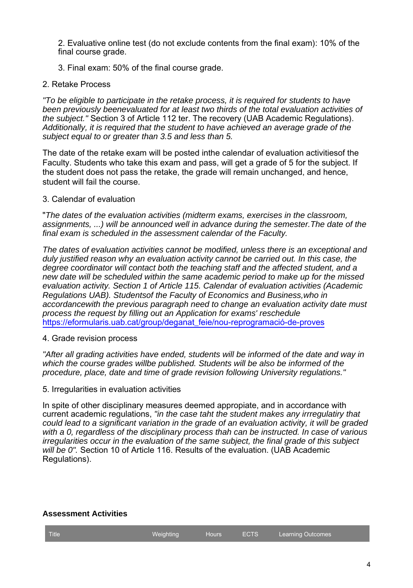2. Evaluative online test (do not exclude contents from the final exam): 10% of the final course grade.

3. Final exam: 50% of the final course grade.

## 2. Retake Process

"To be eligible to participate in the retake process, it is required for students to have been previously beenevaluated for at least two thirds of the total evaluation activities of the subject." Section 3 of Article 112 ter. The recovery (UAB Academic Regulations). Additionally, it is required that the student to have achieved an average grade of the subject equal to or greater than 3.5 and less than 5.

The date of the retake exam will be posted inthe calendar of evaluation activitiesof the Faculty. Students who take this exam and pass, will get a grade of 5 for the subject. If the student does not pass the retake, the grade will remain unchanged, and hence, student will fail the course.

## 3. Calendar of evaluation

"The dates of the evaluation activities (midterm exams, exercises in the classroom, assignments, ...) will be announced well in advance during the semester.The date of the final exam is scheduled in the assessment calendar of the Faculty.

The dates of evaluation activities cannot be modified, unless there is an exceptional and duly justified reason why an evaluation activity cannot be carried out. In this case, the degree coordinator will contact both the teaching staff and the affected student, and a new date will be scheduled within the same academic period to make up for the missed evaluation activity. Section 1 of Article 115. Calendar of evaluation activities (Academic Regulations UAB). Studentsof the Faculty of Economics and Business,who in accordancewith the previous paragraph need to change an evaluation activity date must process the request by filling out an Application for exams' reschedule [https://eformularis.uab.cat/group/deganat\\_feie/nou-reprogramació-de-proves](https://eformularis.uab.cat/group/deganat_feie/application-for-exams-reschedule)

## 4. Grade revision process

"After all grading activities have ended, students will be informed of the date and way in which the course grades willbe published. Students will be also be informed of the procedure, place, date and time of grade revision following University regulations."

5. Irregularities in evaluation activities

In spite of other disciplinary measures deemed appropiate, and in accordance with current academic regulations, "in the case taht the student makes any irrregulatiry that could lead to a significant variation in the grade of an evaluation activity, it will be graded with a 0, regardless of the disciplinary process thah can be instructed. In case of various irregularities occur in the evaluation of the same subject, the final grade of this subject will be 0". Section 10 of Article 116. Results of the evaluation. (UAB Academic Regulations).

## **Assessment Activities**